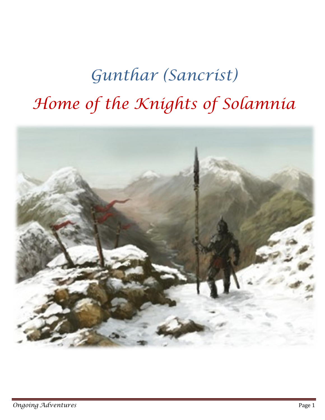# *Gunthar (Sancrist) Home of the Knights of Solamnia*

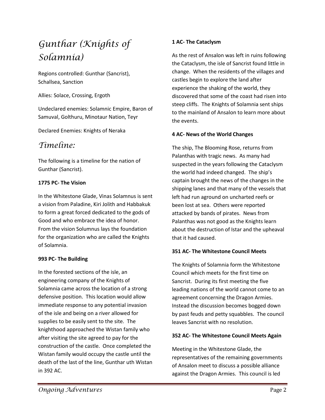# *Gunthar (Knights of Solamnia)*

Regions controlled: Gunthar (Sancrist), Schallsea, Sanction

Allies: Solace, Crossing, Ergoth

Undeclared enemies: Solamnic Empire, Baron of Samuval, Golthuru, Minotaur Nation, Teyr

Declared Enemies: Knights of Neraka

# *Timeline:*

The following is a timeline for the nation of Gunthar (Sancrist).

#### **1775 PC- The Vision**

In the Whitestone Glade, Vinas Solamnus is sent a vision from Paladine, Kiri Jolith and Habbakuk to form a great forced dedicated to the gods of Good and who embrace the idea of honor. From the vision Solumnus lays the foundation for the organization who are called the Knights of Solamnia.

#### **993 PC- The Building**

In the forested sections of the isle, an engineering company of the Knights of Solamnia came across the location of a strong defensive position. This location would allow immediate response to any potential invasion of the isle and being on a river allowed for supplies to be easily sent to the site. The knighthood approached the Wistan family who after visiting the site agreed to pay for the construction of the castle. Once completed the Wistan family would occupy the castle until the death of the last of the line, Gunthar uth Wistan in 392 AC.

#### **1 AC- The Cataclysm**

As the rest of Ansalon was left in ruins following the Cataclysm, the isle of Sancrist found little in change. When the residents of the villages and castles begin to explore the land after experience the shaking of the world, they discovered that some of the coast had risen into steep cliffs. The Knights of Solamnia sent ships to the mainland of Ansalon to learn more about the events.

#### **4 AC- News of the World Changes**

The ship, The Blooming Rose, returns from Palanthas with tragic news. As many had suspected in the years following the Cataclysm the world had indeed changed. The ship's captain brought the news of the changes in the shipping lanes and that many of the vessels that left had run aground on uncharted reefs or been lost at sea. Others were reported attacked by bands of pirates. News from Palanthas was not good as the Knights learn about the destruction of Istar and the upheaval that it had caused.

#### **351 AC- The Whitestone Council Meets**

The Knights of Solamnia form the Whitestone Council which meets for the first time on Sancrist. During its first meeting the five leading nations of the world cannot come to an agreement concerning the Dragon Armies. Instead the discussion becomes bogged down by past feuds and petty squabbles. The council leaves Sancrist with no resolution.

#### **352 AC- The Whitestone Council Meets Again**

Meeting in the Whitestone Glade, the representatives of the remaining governments of Ansalon meet to discuss a possible alliance against the Dragon Armies. This council is led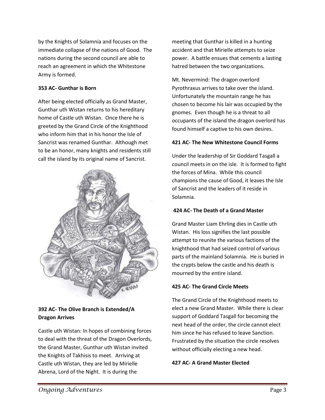by the Knights of Solamnia and focuses on the immediate collapse of the nations of Good. The nations during the second council are able to reach an agreement in which the Whitestone Army is formed.

#### **353 AC- Gunthar is Born**

After being elected officially as Grand Master, Gunthar uth Wistan returns to his hereditary home of Castle uth Wistan. Once there he is greeted by the Grand Circle of the Knighthood who inform him that in his honor the Isle of Sancrist was renamed Gunthar. Although met to be an honor, many knights and residents still call the island by its original name of Sancrist.



#### **392 AC- The Olive Branch is Extended/A Dragon Arrives**

Castle uth Wistan: In hopes of combining forces to deal with the threat of the Dragon Overlords, the Grand Master, Gunthar uth Wistan invited the Knights of Takhisis to meet. Arriving at Castle uth Wistan, they are led by Mirielle Abrena, Lord of the Night. It is during the

meeting that Gunthar is killed in a hunting accident and that Mirielle attempts to seize power. A battle ensues that cements a lasting hatred between the two organizations.

Mt. Nevermind: The dragon overlord Pyrothraxus arrives to take over the island. Unfortunately the mountain range he has chosen to become his lair was occupied by the gnomes. Even though he is a threat to all occupants of the island the dragon overlord has found himself a captive to his own desires.

#### **421 AC- The New Whitestone Council Forms**

Under the leadership of Sir Goddard Tasgall a council meets in on the isle. It is formed to fight the forces of Mina. While this council champions the cause of Good, it leaves the Isle of Sancrist and the leaders of it reside in Solamnia.

#### **424 AC- The Death of a Grand Master**

Grand Master Liam Ehrling dies in Castle uth Wistan. His loss signifies the last possible attempt to reunite the various factions of the knighthood that had seized control of various parts of the mainland Solamnia. He is buried in the crypts below the castle and his death is mourned by the entire island.

#### **425 AC- The Grand Circle Meets**

The Grand Circle of the Knighthood meets to elect a new Grand Master. While there is clear support of Goddard Tasgall for becoming the next head of the order, the circle cannot elect him since he has refused to leave Sanction. Frustrated by the situation the circle resolves without officially electing a new head.

#### **427 AC- A Grand Master Elected**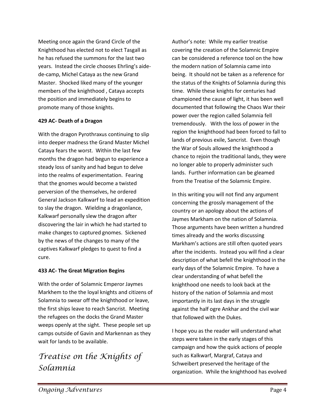Meeting once again the Grand Circle of the Knighthood has elected not to elect Tasgall as he has refused the summons for the last two years. Instead the circle chooses Ehrling's aidede-camp, Michel Cataya as the new Grand Master. Shocked liked many of the younger members of the knighthood , Cataya accepts the position and immediately begins to promote many of those knights.

#### **429 AC- Death of a Dragon**

With the dragon Pyrothraxus continuing to slip into deeper madness the Grand Master Michel Cataya fears the worst. Within the last few months the dragon had begun to experience a steady loss of sanity and had begun to delve into the realms of experimentation. Fearing that the gnomes would become a twisted perversion of the themselves, he ordered General Jackson Kalkwarf to lead an expedition to slay the dragon. Wielding a dragonlance, Kalkwarf personally slew the dragon after discovering the lair in which he had started to make changes to captured gnomes. Sickened by the news of the changes to many of the captives Kalkwarf pledges to quest to find a cure.

#### **433 AC- The Great Migration Begins**

With the order of Solamnic Emperor Jaymes Markhem to the the loyal knights and citizens of Solamnia to swear off the knighthood or leave, the first ships leave to reach Sancrist. Meeting the refugees on the docks the Grand Master weeps openly at the sight. These people set up camps outside of Gavin and Markennan as they wait for lands to be available.

# *Treatise on the Knights of Solamnia*

Author's note: While my earlier treatise covering the creation of the Solamnic Empire can be considered a reference tool on the how the modern nation of Solamnia came into being. It should not be taken as a reference for the status of the Knights of Solamnia during this time. While these knights for centuries had championed the cause of light, it has been well documented that following the Chaos War their power over the region called Solamnia fell tremendously. With the loss of power in the region the knighthood had been forced to fall to lands of previous exile, Sancrist. Even though the War of Souls allowed the knighthood a chance to rejoin the traditional lands, they were no longer able to properly administer such lands. Further information can be gleamed from the Treatise of the Solamnic Empire.

In this writing you will not find any argument concerning the grossly management of the country or an apology about the actions of Jaymes Markham on the nation of Solamnia. Those arguments have been written a hundred times already and the works discussing Markham's actions are still often quoted years after the incidents. Instead you will find a clear description of what befell the knighthood in the early days of the Solamnic Empire. To have a clear understanding of what befell the knighthood one needs to look back at the history of the nation of Solamnia and most importantly in its last days in the struggle against the half ogre Ankhar and the civil war that followed with the Dukes.

I hope you as the reader will understand what steps were taken in the early stages of this campaign and how the quick actions of people such as Kalkwarf, Margraf, Cataya and Schweibert preserved the heritage of the organization. While the knighthood has evolved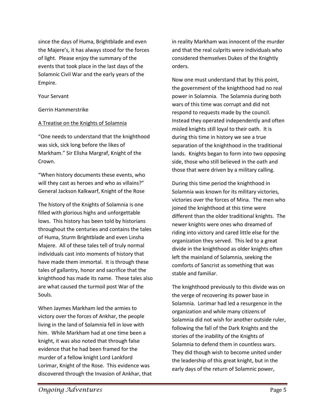since the days of Huma, Brightblade and even the Majere's, it has always stood for the forces of light. Please enjoy the summary of the events that took place in the last days of the Solamnic Civil War and the early years of the Empire.

Your Servant

Gerrin Hammerstrike

#### A Treatise on the Knights of Solamnia

"One needs to understand that the knighthood was sick, sick long before the likes of Markham." Sir Elisha Margraf, Knight of the Crown.

"When history documents these events, who will they cast as heroes and who as villains?" General Jackson Kalkwarf, Knight of the Rose

The history of the Knights of Solamnia is one filled with glorious highs and unforgettable lows. This history has been told by historians throughout the centuries and contains the tales of Huma, Sturm Brightblade and even Linsha Majere. All of these tales tell of truly normal individuals cast into moments of history that have made them immortal. It is through these tales of gallantry, honor and sacrifice that the knighthood has made its name. These tales also are what caused the turmoil post War of the Souls.

When Jaymes Markham led the armies to victory over the forces of Ankhar, the people living in the land of Solamnia fell in love with him. While Markham had at one time been a knight, it was also noted that through false evidence that he had been framed for the murder of a fellow knight Lord Lankford Lorimar, Knight of the Rose. This evidence was discovered through the Invasion of Ankhar, that in reality Markham was innocent of the murder and that the real culprits were individuals who considered themselves Dukes of the Knightly orders.

Now one must understand that by this point, the government of the knighthood had no real power in Solamnia. The Solamnia during both wars of this time was corrupt and did not respond to requests made by the council. Instead they operated independently and often misled knights still loyal to their oath. It is during this time in history we see a true separation of the knighthood in the traditional lands. Knights began to form into two opposing side, those who still believed in the oath and those that were driven by a military calling.

During this time period the knighthood in Solamnia was known for its military victories, victories over the forces of Mina. The men who joined the knighthood at this time were different than the older traditional knights. The newer knights were ones who dreamed of riding into victory and cared little else for the organization they served. This led to a great divide in the knighthood as older knights often left the mainland of Solamnia, seeking the comforts of Sancrist as something that was stable and familiar.

The knighthood previously to this divide was on the verge of recovering its power base in Solamnia. Lorimar had led a resurgence in the organization and while many citizens of Solamnia did not wish for another outside ruler, following the fall of the Dark Knights and the stories of the inability of the Knights of Solamnia to defend them in countless wars. They did though wish to become united under the leadership of this great knight, but in the early days of the return of Solamnic power,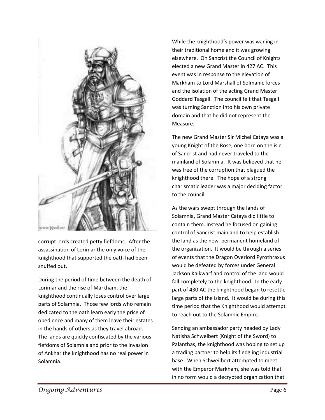

corrupt lords created petty fiefdoms. After the assassination of Lorimar the only voice of the knighthood that supported the oath had been snuffed out.

During the period of time between the death of Lorimar and the rise of Markham, the knighthood continually loses control over large parts of Solamnia. Those few lords who remain dedicated to the oath learn early the price of obedience and many of them leave their estates in the hands of others as they travel abroad. The lands are quickly confiscated by the various fiefdoms of Solamnia and prior to the invasion of Ankhar the knighthood has no real power in Solamnia.

While the knighthood's power was waning in their traditional homeland it was growing elsewhere. On Sancrist the Council of Knights elected a new Grand Master in 427 AC. This event was in response to the elevation of Markham to Lord Marshall of Solmanic forces and the isolation of the acting Grand Master Goddard Tasgall. The council felt that Tasgall was turning Sanction into his own private domain and that he did not represent the Measure.

The new Grand Master Sir Michel Cataya was a young Knight of the Rose, one born on the isle of Sancrist and had never traveled to the mainland of Solamnia. It was believed that he was free of the corruption that plagued the knighthood there. The hope of a strong charismatic leader was a major deciding factor to the council.

As the wars swept through the lands of Solamnia, Grand Master Cataya did little to contain them. Instead he focused on gaining control of Sancrist mainland to help establish the land as the new permanent homeland of the organization. It would be through a series of events that the Dragon Overlord Pyrothraxus would be defeated by forces under General Jackson Kalkwarf and control of the land would fall completely to the knighthood. In the early part of 430 AC the knighthood began to resettle large parts of the island. It would be during this time period that the Knighthood would attempt to reach out to the Solamnic Empire.

Sending an ambassador party headed by Lady Natisha Schweibert (Knight of the Sword) to Palanthas, the knighthood was hoping to set up a trading partner to help its fledgling industrial base. When Schweilbert attempted to meet with the Emperor Markham, she was told that in no form would a decrypted organization that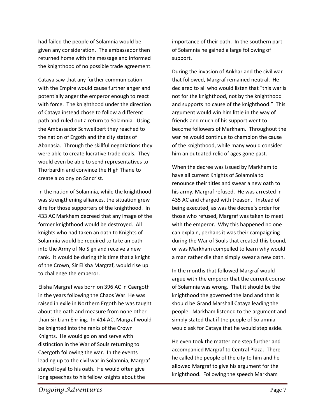had failed the people of Solamnia would be given any consideration. The ambassador then returned home with the message and informed the knighthood of no possible trade agreement.

Cataya saw that any further communication with the Empire would cause further anger and potentially anger the emperor enough to react with force. The knighthood under the direction of Cataya instead chose to follow a different path and ruled out a return to Solamnia. Using the Ambassador Schweilbert they reached to the nation of Ergoth and the city states of Abanasia. Through the skillful negotiations they were able to create lucrative trade deals. They would even be able to send representatives to Thorbardin and convince the High Thane to create a colony on Sancrist.

In the nation of Solamnia, while the knighthood was strengthening alliances, the situation grew dire for those supporters of the knighthood. In 433 AC Markham decreed that any image of the former knighthood would be destroyed. All knights who had taken an oath to Knights of Solamnia would be required to take an oath into the Army of No Sign and receive a new rank. It would be during this time that a knight of the Crown, Sir Elisha Margraf, would rise up to challenge the emperor.

Elisha Margraf was born on 396 AC in Caergoth in the years following the Chaos War. He was raised in exile in Northern Ergoth he was taught about the oath and measure from none other than Sir Liam Ehrling. In 414 AC, Margraf would be knighted into the ranks of the Crown Knights. He would go on and serve with distinction in the War of Souls returning to Caergoth following the war. In the events leading up to the civil war in Solamnia, Margraf stayed loyal to his oath. He would often give long speeches to his fellow knights about the

importance of their oath. In the southern part of Solamnia he gained a large following of support.

During the invasion of Ankhar and the civil war that followed, Margraf remained neutral. He declared to all who would listen that "this war is not for the knighthood, not by the knighthood and supports no cause of the knighthood." This argument would win him little in the way of friends and much of his support went to become followers of Markham. Throughout the war he would continue to champion the cause of the knighthood, while many would consider him an outdated relic of ages gone past.

When the decree was issued by Markham to have all current Knights of Solamnia to renounce their titles and swear a new oath to his army, Margraf refused. He was arrested in 435 AC and charged with treason. Instead of being executed, as was the decree's order for those who refused, Margraf was taken to meet with the emperor. Why this happened no one can explain, perhaps it was their campaigning during the War of Souls that created this bound, or was Markham compelled to learn why would a man rather die than simply swear a new oath.

In the months that followed Margraf would argue with the emperor that the current course of Solamnia was wrong. That it should be the knighthood the governed the land and that is should be Grand Marshall Cataya leading the people. Markham listened to the argument and simply stated that if the people of Solamnia would ask for Cataya that he would step aside.

He even took the matter one step further and accompanied Margraf to Central Plaza. There he called the people of the city to him and he allowed Margraf to give his argument for the knighthood. Following the speech Markham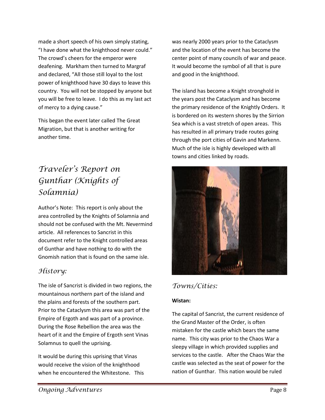made a short speech of his own simply stating, "I have done what the knighthood never could." The crowd's cheers for the emperor were deafening. Markham then turned to Margraf and declared, "All those still loyal to the lost power of knighthood have 30 days to leave this country. You will not be stopped by anyone but you will be free to leave. I do this as my last act of mercy to a dying cause."

This began the event later called The Great Migration, but that is another writing for another time.

# *Traveler's Report on Gunthar (Knights of Solamnia)*

Author's Note: This report is only about the area controlled by the Knights of Solamnia and should not be confused with the Mt. Nevermind article. All references to Sancrist in this document refer to the Knight controlled areas of Gunthar and have nothing to do with the Gnomish nation that is found on the same isle.

# *History:*

The isle of Sancrist is divided in two regions, the mountainous northern part of the island and the plains and forests of the southern part. Prior to the Cataclysm this area was part of the Empire of Ergoth and was part of a province. During the Rose Rebellion the area was the heart of it and the Empire of Ergoth sent Vinas Solamnus to quell the uprising.

It would be during this uprising that Vinas would receive the vision of the knighthood when he encountered the Whitestone. This was nearly 2000 years prior to the Cataclysm and the location of the event has become the center point of many councils of war and peace. It would become the symbol of all that is pure and good in the knighthood.

The island has become a Knight stronghold in the years post the Cataclysm and has become the primary residence of the Knightly Orders. It is bordered on its western shores by the Sirrion Sea which is a vast stretch of open areas. This has resulted in all primary trade routes going through the port cities of Gavin and Markenn. Much of the isle is highly developed with all towns and cities linked by roads.



# *Towns/Cities:*

#### **Wistan:**

The capital of Sancrist, the current residence of the Grand Master of the Order, is often mistaken for the castle which bears the same name. This city was prior to the Chaos War a sleepy village in which provided supplies and services to the castle. After the Chaos War the castle was selected as the seat of power for the nation of Gunthar. This nation would be ruled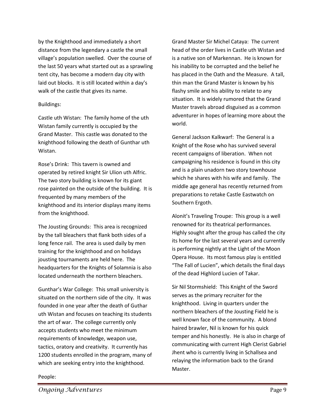by the Knighthood and immediately a short distance from the legendary a castle the small village's population swelled. Over the course of the last 50 years what started out as a sprawling tent city, has become a modern day city with laid out blocks. It is still located within a day's walk of the castle that gives its name.

#### Buildings:

Castle uth Wistan: The family home of the uth Wistan family currently is occupied by the Grand Master. This castle was donated to the knighthood following the death of Gunthar uth Wistan.

Rose's Drink: This tavern is owned and operated by retired knight Sir Ulion uth Alfric. The two story building is known for its giant rose painted on the outside of the building. It is frequented by many members of the knighthood and its interior displays many items from the knighthood.

The Jousting Grounds: This area is recognized by the tall bleachers that flank both sides of a long fence rail. The area is used daily by men training for the knighthood and on holidays jousting tournaments are held here. The headquarters for the Knights of Solamnia is also located underneath the northern bleachers.

Gunthar's War College: This small university is situated on the northern side of the city. It was founded in one year after the death of Guthar uth Wistan and focuses on teaching its students the art of war. The college currently only accepts students who meet the minimum requirements of knowledge, weapon use, tactics, oratory and creativity. It currently has 1200 students enrolled in the program, many of which are seeking entry into the knighthood.

Grand Master Sir Michel Cataya: The current head of the order lives in Castle uth Wistan and is a native son of Markennan. He is known for his inability to be corrupted and the belief he has placed in the Oath and the Measure. A tall, thin man the Grand Master is known by his flashy smile and his ability to relate to any situation. It is widely rumored that the Grand Master travels abroad disguised as a common adventurer in hopes of learning more about the world.

General Jackson Kalkwarf: The General is a Knight of the Rose who has survived several recent campaigns of liberation. When not campaigning his residence is found in this city and is a plain unadorn two story townhouse which he shares with his wife and family. The middle age general has recently returned from preparations to retake Castle Eastwatch on Southern Ergoth.

Alonit's Traveling Troupe: This group is a well renowned for its theatrical performances. Highly sought after the group has called the city its home for the last several years and currently is performing nightly at the Light of the Moon Opera House. Its most famous play is entitled "The Fall of Lucien", which details the final days of the dead Highlord Lucien of Takar.

Sir Nil Stormshield: This Knight of the Sword serves as the primary recruiter for the knighthood. Living in quarters under the northern bleachers of the Jousting Field he is well known face of the community. A blond haired brawler, Nil is known for his quick temper and his honestly. He is also in charge of communicating with current High Clerist Gabriel Jhent who is currently living in Schallsea and relaying the information back to the Grand Master.

#### People: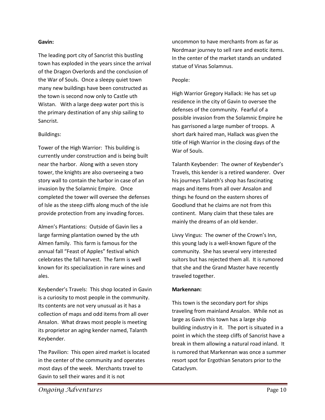#### **Gavin:**

The leading port city of Sancrist this bustling town has exploded in the years since the arrival of the Dragon Overlords and the conclusion of the War of Souls. Once a sleepy quiet town many new buildings have been constructed as the town is second now only to Castle uth Wistan. With a large deep water port this is the primary destination of any ship sailing to Sancrist.

#### Buildings:

Tower of the High Warrior: This building is currently under construction and is being built near the harbor. Along with a seven story tower, the knights are also overseeing a two story wall to contain the harbor in case of an invasion by the Solamnic Empire. Once completed the tower will oversee the defenses of Isle as the steep cliffs along much of the isle provide protection from any invading forces.

Almen's Plantations: Outside of Gavin lies a large farming plantation owned by the uth Almen family. This farm is famous for the annual fall "Feast of Apples" festival which celebrates the fall harvest. The farm is well known for its specialization in rare wines and ales.

Keybender's Travels: This shop located in Gavin is a curiosity to most people in the community. Its contents are not very unusual as it has a collection of maps and odd items from all over Ansalon. What draws most people is meeting its proprietor an aging kender named, Talanth Keybender.

The Pavilion: This open aired market is located in the center of the community and operates most days of the week. Merchants travel to Gavin to sell their wares and it is not

uncommon to have merchants from as far as Nordmaar journey to sell rare and exotic items. In the center of the market stands an undated statue of Vinas Solamnus.

#### People:

High Warrior Gregory Hallack: He has set up residence in the city of Gavin to oversee the defenses of the community. Fearful of a possible invasion from the Solamnic Empire he has garrisoned a large number of troops. A short dark haired man, Hallack was given the title of High Warrior in the closing days of the War of Souls.

Talanth Keybender: The owner of Keybender's Travels, this kender is a retired wanderer. Over his journeys Talanth's shop has fascinating maps and items from all over Ansalon and things he found on the eastern shores of Goodlund that he claims are not from this continent. Many claim that these tales are mainly the dreams of an old kender.

Livvy Vingus: The owner of the Crown's Inn, this young lady is a well-known figure of the community. She has several very interested suitors but has rejected them all. It is rumored that she and the Grand Master have recently traveled together.

#### **Markennan:**

This town is the secondary port for ships traveling from mainland Ansalon. While not as large as Gavin this town has a large ship building industry in it. The port is situated in a point in which the steep cliffs of Sancrist have a break in them allowing a natural road inland. It is rumored that Markennan was once a summer resort spot for Ergothian Senators prior to the Cataclysm.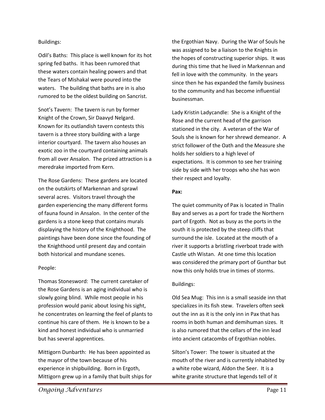#### Buildings:

Odil's Baths: This place is well known for its hot spring fed baths. It has been rumored that these waters contain healing powers and that the Tears of Mishakal were poured into the waters. The building that baths are in is also rumored to be the oldest building on Sancrist.

Snot's Tavern: The tavern is run by former Knight of the Crown, Sir Daavyd Nelgard. Known for its outlandish tavern contests this tavern is a three story building with a large interior courtyard. The tavern also houses an exotic zoo in the courtyard containing animals from all over Ansalon. The prized attraction is a meredrake imported from Kern.

The Rose Gardens: These gardens are located on the outskirts of Markennan and sprawl several acres. Visitors travel through the garden experiencing the many different forms of fauna found in Ansalon. In the center of the gardens is a stone keep that contains murals displaying the history of the Knighthood. The paintings have been done since the founding of the Knighthood until present day and contain both historical and mundane scenes.

#### People:

Thomas Stonesword: The current caretaker of the Rose Gardens is an aging individual who is slowly going blind. While most people in his profession would panic about losing his sight, he concentrates on learning the feel of plants to continue his care of them. He is known to be a kind and honest individual who is unmarried but has several apprentices.

Mittigorn Dunbarth: He has been appointed as the mayor of the town because of his experience in shipbuilding. Born in Ergoth, Mittigorn grew up in a family that built ships for the Ergothian Navy. During the War of Souls he was assigned to be a liaison to the Knights in the hopes of constructing superior ships. It was during this time that he lived in Markennan and fell in love with the community. In the years since then he has expanded the family business to the community and has become influential businessman.

Lady Kristin Ladycandle: She is a Knight of the Rose and the current head of the garrison stationed in the city. A veteran of the War of Souls she is known for her shrewd demeanor. A strict follower of the Oath and the Measure she holds her soldiers to a high level of expectations. It is common to see her training side by side with her troops who she has won their respect and loyalty.

#### **Pax:**

The quiet community of Pax is located in Thalin Bay and serves as a port for trade the Northern part of Ergoth. Not as busy as the ports in the south it is protected by the steep cliffs that surround the isle. Located at the mouth of a river it supports a bristling riverboat trade with Castle uth Wistan. At one time this location was considered the primary port of Gunthar but now this only holds true in times of storms.

#### Buildings:

Old Sea Mug: This inn is a small seaside inn that specializes in its fish stew. Travelers often seek out the inn as it is the only inn in Pax that has rooms in both human and demihuman sizes. It is also rumored that the cellars of the inn lead into ancient catacombs of Ergothian nobles.

Silton's Tower: The tower is situated at the mouth of the river and is currently inhabited by a white robe wizard, Aldon the Seer. It is a white granite structure that legends tell of it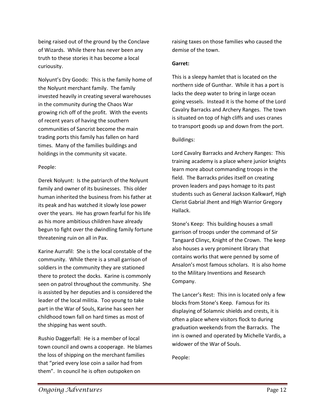being raised out of the ground by the Conclave of Wizards. While there has never been any truth to these stories it has become a local curiousity.

Nolyunt's Dry Goods: This is the family home of the Nolyunt merchant family. The family invested heavily in creating several warehouses in the community during the Chaos War growing rich off of the profit. With the events of recent years of having the southern communities of Sancrist become the main trading ports this family has fallen on hard times. Many of the families buildings and holdings in the community sit vacate.

#### People:

Derek Nolyunt: Is the patriarch of the Nolyunt family and owner of its businesses. This older human inherited the business from his father at its peak and has watched it slowly lose power over the years. He has grown fearful for his life as his more ambitious children have already begun to fight over the dwindling family fortune threatening ruin on all in Pax.

Karine Aurrafil: She is the local constable of the community. While there is a small garrison of soldiers in the community they are stationed there to protect the docks. Karine is commonly seen on patrol throughout the community. She is assisted by her deputies and is considered the leader of the local militia. Too young to take part in the War of Souls, Karine has seen her childhood town fall on hard times as most of the shipping has went south.

Rushio Daggerfall: He is a member of local town council and owns a cooperage. He blames the loss of shipping on the merchant families that "pried every lose coin a sailor had from them". In council he is often outspoken on

raising taxes on those families who caused the demise of the town.

#### **Garret:**

This is a sleepy hamlet that is located on the northern side of Gunthar. While it has a port is lacks the deep water to bring in large ocean going vessels. Instead it is the home of the Lord Cavalry Barracks and Archery Ranges. The town is situated on top of high cliffs and uses cranes to transport goods up and down from the port.

#### Buildings:

Lord Cavalry Barracks and Archery Ranges: This training academy is a place where junior knights learn more about commanding troops in the field. The Barracks prides itself on creating proven leaders and pays homage to its past students such as General Jackson Kalkwarf, High Clerist Gabrial Jhent and High Warrior Gregory Hallack.

Stone's Keep: This building houses a small garrison of troops under the command of Sir Tangaard Clinyc, Knight of the Crown. The keep also houses a very prominent library that contains works that were penned by some of Ansalon's most famous scholars. It is also home to the Military Inventions and Research Company.

The Lancer's Rest: This inn is located only a few blocks from Stone's Keep. Famous for its displaying of Solamnic shields and crests, it is often a place where visitors flock to during graduation weekends from the Barracks. The inn is owned and operated by Michelle Vardis, a widower of the War of Souls.

People: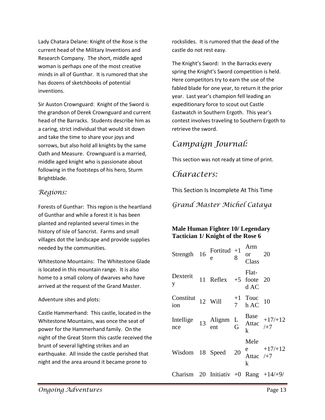Lady Chatara Delane: Knight of the Rose is the current head of the Military Inventions and Research Company. The short, middle aged woman is perhaps one of the most creative minds in all of Gunthar. It is rumored that she has dozens of sketchbooks of potential inventions.

Sir Auston Crownguard: Knight of the Sword is the grandson of Derek Crownguard and current head of the Barracks. Students describe him as a caring, strict individual that would sit down and take the time to share your joys and sorrows, but also hold all knights by the same Oath and Measure. Crownguard is a married, middle aged knight who is passionate about following in the footsteps of his hero, Sturm Brightblade.

## *Regions:*

Forests of Gunthar: This region is the heartland of Gunthar and while a forest it is has been planted and replanted several times in the history of Isle of Sancrist. Farms and small villages dot the landscape and provide supplies needed by the communities.

Whitestone Mountains: The Whitestone Glade is located in this mountain range. It is also home to a small colony of dwarves who have arrived at the request of the Grand Master.

#### Adventure sites and plots:

Castle Hammerhand: This castle, located in the Whitestone Mountains, was once the seat of power for the Hammerhand family. On the night of the Great Storm this castle received the brunt of several lighting strikes and an earthquake. All inside the castle perished that night and the area around it became prone to

rockslides. It is rumored that the dead of the castle do not rest easy.

The Knight's Sword: In the Barracks every spring the Knight's Sword competition is held. Here competitors try to earn the use of the fabled blade for one year, to return it the prior year. Last year's champion fell leading an expeditionary force to scout out Castle Eastwatch in Southern Ergoth. This year's contest involves traveling to Southern Ergoth to retrieve the sword.

# *Campaign Journal:*

This section was not ready at time of print.

# *Characters:*

This Section Is Incomplete At This Time

*Grand Master Michel Cataya*

## **Male Human Fighter 10/ Legendary Tactician 1/ Knight of the Rose 6**

| Strength 16 Fortitud +1                |                         |    | Arm<br><b>or</b><br>Class | - 20                         |
|----------------------------------------|-------------------------|----|---------------------------|------------------------------|
| Dexterit<br>y                          | 11 Reflex $+5$ foote 20 |    | Flat-<br>d AC             |                              |
| Constitut<br>ion                       | 12 Will                 |    | $+1$ Touc<br>7 hAC        | 10                           |
| Intellige<br>nce                       | 13 Alignm L<br>ent G    |    | k                         | Base $+17/+12$<br>Attac $+7$ |
| Wisdom 18 Speed                        |                         | 20 | Mele<br>Attac $/+7$<br>k  | e $+17/+12$                  |
| Charism 20 Initiativ +0 Rang $+14/+9/$ |                         |    |                           |                              |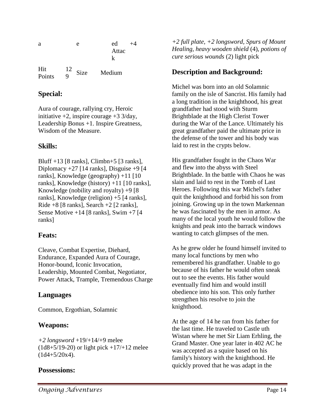| a             | е                   | ed     |
|---------------|---------------------|--------|
|               |                     | Attac  |
|               |                     | k      |
| Hit<br>Points | $\frac{12}{9}$ Size | Medium |

## **Special:**

Aura of courage, rallying cry, Heroic initiative  $+2$ , inspire courage  $+3 \frac{3}{day}$ , Leadership Bonus +1. Inspire Greatness, Wisdom of the Measure.

## **Skills:**

Bluff +13 [8 ranks], Climbn+5 [3 ranks], Diplomacy +27 [14 ranks], Disguise +9 [4 ranks], Knowledge (geography) +11 [10 ranks], Knowledge (history) +11 [10 ranks], Knowledge (nobility and royalty)  $+9$  [8] ranks], Knowledge (religion) +5 [4 ranks], Ride  $+8$  [8 ranks], Search  $+2$  [2 ranks], Sense Motive  $+14$  [8 ranks], Swim  $+7$  [4 ranks]

# **Feats:**

Cleave, Combat Expertise, Diehard, Endurance, Expanded Aura of Courage, Honor-bound, Iconic Invocation, Leadership, Mounted Combat, Negotiator, Power Attack, Trample, Tremendous Charge

# **Languages**

Common, Ergothian, Solamnic

# **Weapons:**

*+2 longsword* +19/+14/+9 melee  $(1d8+5/19-20)$  or light pick  $+17/+12$  melee  $(1d4+5/20x4)$ .

# **Possessions:**

*+2 full plate, +2 longsword, Spurs of Mount Healing, heavy wooden shield* (4), *potions of cure serious wounds* (2) light pick

# **Description and Background:**

Michel was born into an old Solamnic family on the isle of Sancrist. His family had a long tradition in the knighthood, his great grandfather had stood with Sturm Brightblade at the High Clerist Tower during the War of the Lance. Ultimately his great grandfather paid the ultimate price in the defense of the tower and his body was laid to rest in the crypts below.

His grandfather fought in the Chaos War and flew into the abyss with Steel Brightblade. In the battle with Chaos he was slain and laid to rest in the Tomb of Last Heroes. Following this war Michel's father quit the knighthood and forbid his son from joining. Growing up in the town Markennan he was fascinated by the men in armor. As many of the local youth he would follow the knights and peak into the barrack windows wanting to catch glimpses of the men.

As he grew older he found himself invited to many local functions by men who remembered his grandfather. Unable to go because of his father he would often sneak out to see the events. His father would eventually find him and would instill obedience into his son. This only further strengthen his resolve to join the knighthood.

At the age of 14 he ran from his father for the last time. He traveled to Castle uth Wistan where he met Sir Liam Erhling, the Grand Master. One year later in 402 AC he was accepted as a squire based on his family's history with the knighthood. He quickly proved that he was adapt in the